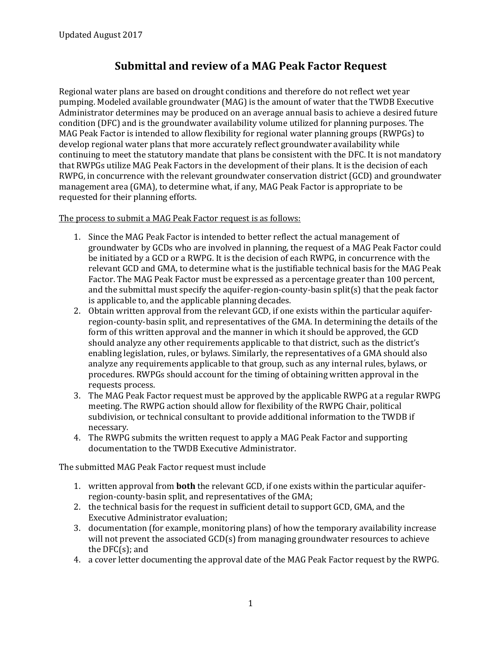## **Submittal and review of a MAG Peak Factor Request**

Regional water plans are based on drought conditions and therefore do not reflect wet year pumping. Modeled available groundwater (MAG) is the amount of water that the TWDB Executive Administrator determines may be produced on an average annual basis to achieve a desired future condition (DFC) and is the groundwater availability volume utilized for planning purposes. The MAG Peak Factor is intended to allow flexibility for regional water planning groups (RWPGs) to develop regional water plans that more accurately reflect groundwater availability while continuing to meet the statutory mandate that plans be consistent with the DFC. It is not mandatory that RWPGs utilize MAG Peak Factors in the development of their plans. It is the decision of each RWPG, in concurrence with the relevant groundwater conservation district (GCD) and groundwater management area (GMA), to determine what, if any, MAG Peak Factor is appropriate to be requested for their planning efforts.

The process to submit a MAG Peak Factor request is as follows:

- 1. Since the MAG Peak Factor is intended to better reflect the actual management of groundwater by GCDs who are involved in planning, the request of a MAG Peak Factor could be initiated by a GCD or a RWPG. It is the decision of each RWPG, in concurrence with the relevant GCD and GMA, to determine what is the justifiable technical basis for the MAG Peak Factor. The MAG Peak Factor must be expressed as a percentage greater than 100 percent, and the submittal must specify the aquifer-region-county-basin split(s) that the peak factor is applicable to, and the applicable planning decades.
- 2. Obtain written approval from the relevant GCD, if one exists within the particular aquiferregion-county-basin split, and representatives of the GMA. In determining the details of the form of this written approval and the manner in which it should be approved, the GCD should analyze any other requirements applicable to that district, such as the district's enabling legislation, rules, or bylaws. Similarly, the representatives of a GMA should also analyze any requirements applicable to that group, such as any internal rules, bylaws, or procedures. RWPGs should account for the timing of obtaining written approval in the requests process.
- 3. The MAG Peak Factor request must be approved by the applicable RWPG at a regular RWPG meeting. The RWPG action should allow for flexibility of the RWPG Chair, political subdivision, or technical consultant to provide additional information to the TWDB if necessary.
- 4. The RWPG submits the written request to apply a MAG Peak Factor and supporting documentation to the TWDB Executive Administrator.

The submitted MAG Peak Factor request must include

- 1. written approval from **both** the relevant GCD, if one exists within the particular aquiferregion-county-basin split, and representatives of the GMA;
- 2. the technical basis for the request in sufficient detail to support GCD, GMA, and the Executive Administrator evaluation;
- 3. documentation (for example, monitoring plans) of how the temporary availability increase will not prevent the associated GCD(s) from managing groundwater resources to achieve the DFC(s); and
- 4. a cover letter documenting the approval date of the MAG Peak Factor request by the RWPG.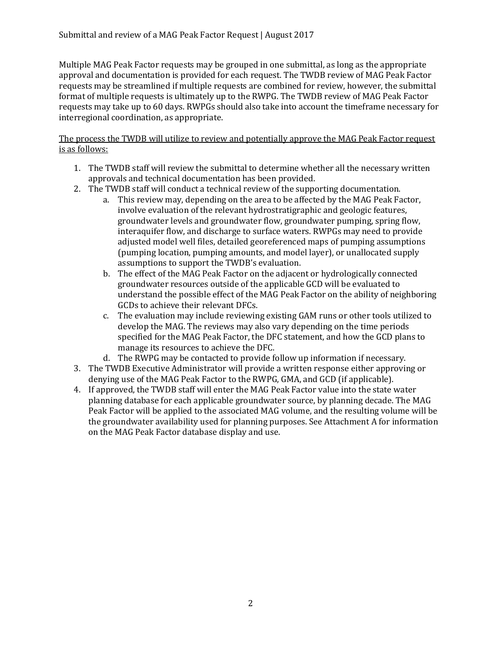Multiple MAG Peak Factor requests may be grouped in one submittal, as long as the appropriate approval and documentation is provided for each request. The TWDB review of MAG Peak Factor requests may be streamlined if multiple requests are combined for review, however, the submittal format of multiple requests is ultimately up to the RWPG. The TWDB review of MAG Peak Factor requests may take up to 60 days. RWPGs should also take into account the timeframe necessary for interregional coordination, as appropriate.

The process the TWDB will utilize to review and potentially approve the MAG Peak Factor request is as follows:

- 1. The TWDB staff will review the submittal to determine whether all the necessary written approvals and technical documentation has been provided.
- 2. The TWDB staff will conduct a technical review of the supporting documentation.
	- a. This review may, depending on the area to be affected by the MAG Peak Factor, involve evaluation of the relevant hydrostratigraphic and geologic features, groundwater levels and groundwater flow, groundwater pumping, spring flow, interaquifer flow, and discharge to surface waters. RWPGs may need to provide adjusted model well files, detailed georeferenced maps of pumping assumptions (pumping location, pumping amounts, and model layer), or unallocated supply assumptions to support the TWDB's evaluation.
	- b. The effect of the MAG Peak Factor on the adjacent or hydrologically connected groundwater resources outside of the applicable GCD will be evaluated to understand the possible effect of the MAG Peak Factor on the ability of neighboring GCDs to achieve their relevant DFCs.
	- c. The evaluation may include reviewing existing GAM runs or other tools utilized to develop the MAG. The reviews may also vary depending on the time periods specified for the MAG Peak Factor, the DFC statement, and how the GCD plans to manage its resources to achieve the DFC.
	- d. The RWPG may be contacted to provide follow up information if necessary.
- 3. The TWDB Executive Administrator will provide a written response either approving or denying use of the MAG Peak Factor to the RWPG, GMA, and GCD (if applicable).
- 4. If approved, the TWDB staff will enter the MAG Peak Factor value into the state water planning database for each applicable groundwater source, by planning decade. The MAG Peak Factor will be applied to the associated MAG volume, and the resulting volume will be the groundwater availability used for planning purposes. See Attachment A for information on the MAG Peak Factor database display and use.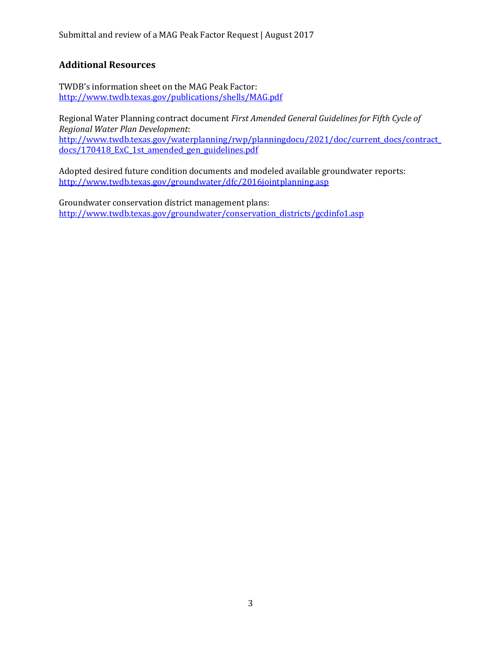## **Additional Resources**

TWDB's information sheet on the MAG Peak Factor: <http://www.twdb.texas.gov/publications/shells/MAG.pdf>

Regional Water Planning contract document *First Amended General Guidelines for Fifth Cycle of Regional Water Plan Development*: [http://www.twdb.texas.gov/waterplanning/rwp/planningdocu/2021/doc/current\\_docs/contract\\_](http://www.twdb.texas.gov/waterplanning/rwp/planningdocu/2021/doc/current_docs/contract_docs/170418_ExC_1st_amended_gen_guidelines.pdf) [docs/170418\\_ExC\\_1st\\_amended\\_gen\\_guidelines.pdf](http://www.twdb.texas.gov/waterplanning/rwp/planningdocu/2021/doc/current_docs/contract_docs/170418_ExC_1st_amended_gen_guidelines.pdf)

Adopted desired future condition documents and modeled available groundwater reports: <http://www.twdb.texas.gov/groundwater/dfc/2016jointplanning.asp>

Groundwater conservation district management plans: [http://www.twdb.texas.gov/groundwater/conservation\\_districts/gcdinfo1.asp](http://www.twdb.texas.gov/groundwater/conservation_districts/gcdinfo1.asp)